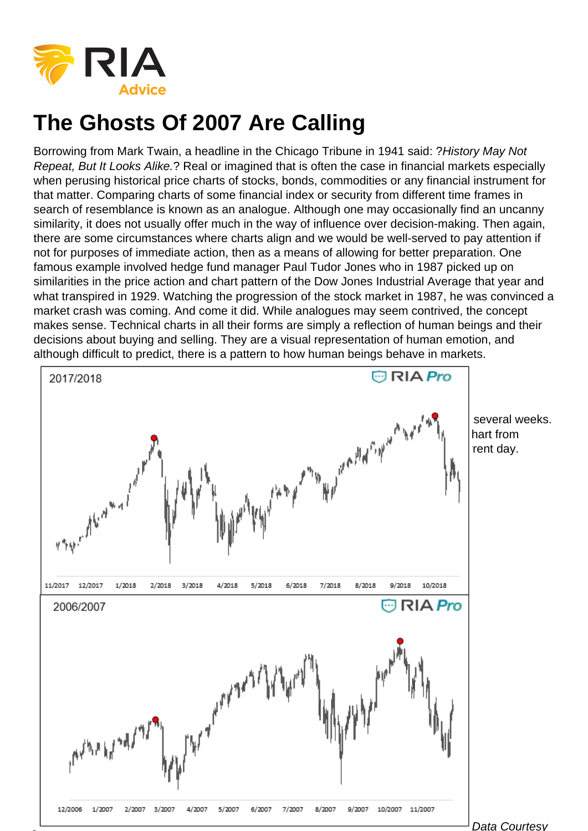Borrowing from Mark Twain, a headline in the Chicago Tribune in 1941 said: ?History May Not Repeat, But It Looks Alike.? Real or imagined that is often the case in financial markets especially when perusing historical price charts of stocks, bonds, commodities or any financial instrument for that matter. Comparing charts of some financial index or security from different time frames in search of resemblance is known as an analogue. Although one may occasionally find an uncanny similarity, it does not usually offer much in the way of influence over decision-making. Then again, there are some circumstances where charts align and we would be well-served to pay attention if not for purposes of immediate action, then as a means of allowing for better preparation. One famous example involved hedge fund manager Paul Tudor Jones who in 1987 picked up on similarities in the price action and chart pattern of the Dow Jones Industrial Average that year and what transpired in 1929. Watching the progression of the stock market in 1987, he was convinced a market crash was coming. And come it did. While analogues may seem contrived, the concept makes sense. Technical charts in all their forms are simply a reflection of human beings and their decisions about buying and selling. They are a visual representation of human emotion, and although difficult to predict, there is a pattern to how human beings behave in markets.

## 2006-2007

[With that said, the developing price action of the S&P 500 has held our attention for](https://realinvestmentadvice.com/wp-content/uploads/2018/10/1-2.png) several weeks. Below is a chart of the S&P 500 from two different time frames. The top frame is a chart from October 2006 to November 2007. The bottom frame is from October 2017 to the current day.